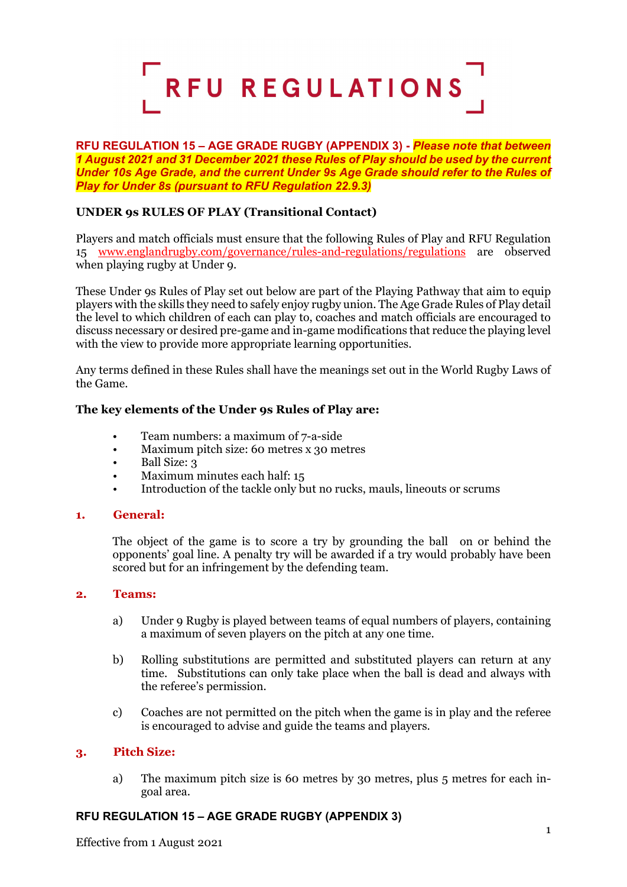

### **RFU REGULATION 15 – AGE GRADE RUGBY (APPENDIX 3) -** *Please note that between 1 August 2021 and 31 December 2021 these Rules of Play should be used by the current Under 10s Age Grade, and the current Under 9s Age Grade should refer to the Rules of Play for Under 8s (pursuant to RFU Regulation 22.9.3)*

# **UNDER 9s RULES OF PLAY (Transitional Contact)**

Players and match officials must ensure that the following Rules of Play and RFU Regulation 15 [www.englandrugby.com/governance/rules-and-regulations/regulations](http://www.englandrugby.com/governance/rules-and-regulations/regulations) are observed when playing rugby at Under 9.

These Under 9s Rules of Play set out below are part of the Playing Pathway that aim to equip players with the skills they need to safely enjoy rugby union. The Age Grade Rules of Play detail the level to which children of each can play to, coaches and match officials are encouraged to discuss necessary or desired pre-game and in-game modifications that reduce the playing level with the view to provide more appropriate learning opportunities.

Any terms defined in these Rules shall have the meanings set out in the World Rugby Laws of the Game.

## **The key elements of the Under 9s Rules of Play are:**

- Team numbers: a maximum of 7-a-side
- Maximum pitch size: 60 metres x 30 metres
- Ball Size: 3
- Maximum minutes each half: 15
- Introduction of the tackle only but no rucks, mauls, lineouts or scrums

### **1. General:**

The object of the game is to score a try by grounding the ball on or behind the opponents' goal line. A penalty try will be awarded if a try would probably have been scored but for an infringement by the defending team.

### **2. Teams:**

- a) Under 9 Rugby is played between teams of equal numbers of players, containing a maximum of seven players on the pitch at any one time.
- b) Rolling substitutions are permitted and substituted players can return at any time. Substitutions can only take place when the ball is dead and always with the referee's permission.
- c) Coaches are not permitted on the pitch when the game is in play and the referee is encouraged to advise and guide the teams and players.

### **3. Pitch Size:**

a) The maximum pitch size is 60 metres by 30 metres, plus 5 metres for each ingoal area.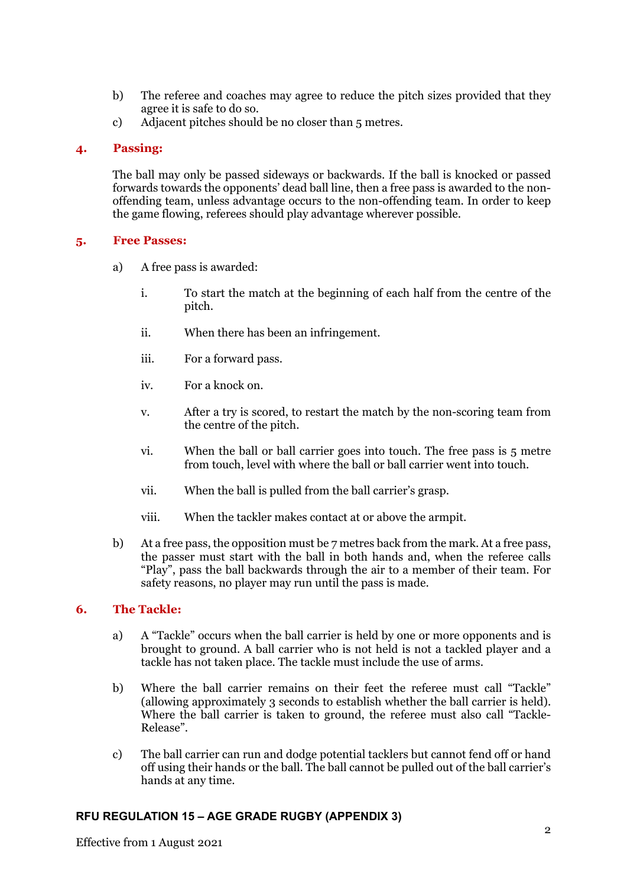- b) The referee and coaches may agree to reduce the pitch sizes provided that they agree it is safe to do so.
- c) Adjacent pitches should be no closer than 5 metres.

## **4. Passing:**

The ball may only be passed sideways or backwards. If the ball is knocked or passed forwards towards the opponents' dead ball line, then a free pass is awarded to the nonoffending team, unless advantage occurs to the non-offending team. In order to keep the game flowing, referees should play advantage wherever possible.

## **5. Free Passes:**

- a) A free pass is awarded:
	- i. To start the match at the beginning of each half from the centre of the pitch.
	- ii. When there has been an infringement.
	- iii. For a forward pass.
	- iv. For a knock on.
	- v. After a try is scored, to restart the match by the non-scoring team from the centre of the pitch.
	- vi. When the ball or ball carrier goes into touch. The free pass is 5 metre from touch, level with where the ball or ball carrier went into touch.
	- vii. When the ball is pulled from the ball carrier's grasp.
	- viii. When the tackler makes contact at or above the armpit.
- b) At a free pass, the opposition must be 7 metres back from the mark. At a free pass, the passer must start with the ball in both hands and, when the referee calls "Play", pass the ball backwards through the air to a member of their team. For safety reasons, no player may run until the pass is made.

## **6. The Tackle:**

- a) A "Tackle" occurs when the ball carrier is held by one or more opponents and is brought to ground. A ball carrier who is not held is not a tackled player and a tackle has not taken place. The tackle must include the use of arms.
- b) Where the ball carrier remains on their feet the referee must call "Tackle" (allowing approximately 3 seconds to establish whether the ball carrier is held). Where the ball carrier is taken to ground, the referee must also call "Tackle-Release".
- c) The ball carrier can run and dodge potential tacklers but cannot fend off or hand off using their hands or the ball. The ball cannot be pulled out of the ball carrier's hands at any time.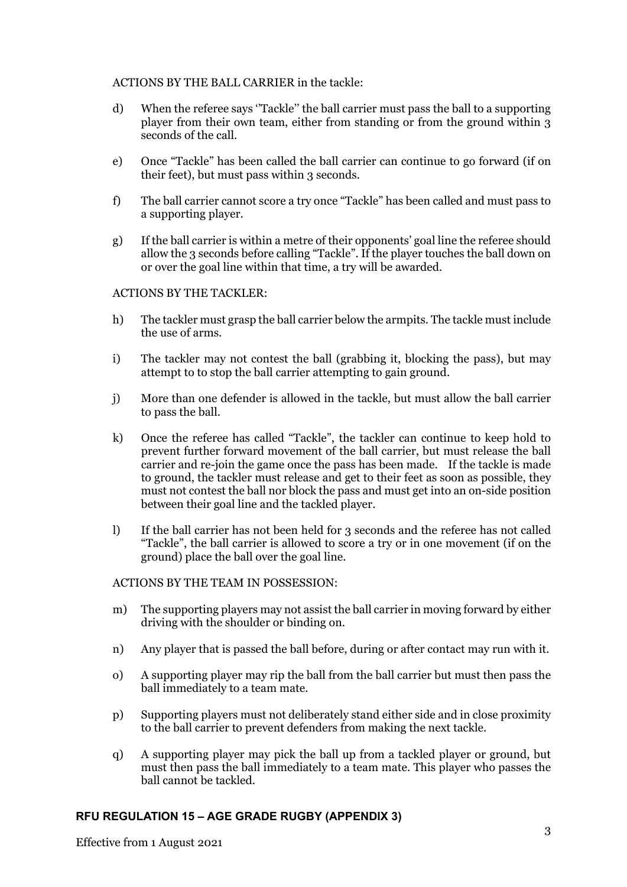### ACTIONS BY THE BALL CARRIER in the tackle:

- d) When the referee says ''Tackle'' the ball carrier must pass the ball to a supporting player from their own team, either from standing or from the ground within 3 seconds of the call.
- e) Once "Tackle" has been called the ball carrier can continue to go forward (if on their feet), but must pass within 3 seconds.
- f) The ball carrier cannot score a try once "Tackle" has been called and must pass to a supporting player.
- g) If the ball carrier is within a metre of their opponents' goal line the referee should allow the 3 seconds before calling "Tackle". If the player touches the ball down on or over the goal line within that time, a try will be awarded.

### ACTIONS BY THE TACKLER:

- h) The tackler must grasp the ball carrier below the armpits. The tackle must include the use of arms.
- i) The tackler may not contest the ball (grabbing it, blocking the pass), but may attempt to to stop the ball carrier attempting to gain ground.
- j) More than one defender is allowed in the tackle, but must allow the ball carrier to pass the ball.
- k) Once the referee has called "Tackle", the tackler can continue to keep hold to prevent further forward movement of the ball carrier, but must release the ball carrier and re-join the game once the pass has been made. If the tackle is made to ground, the tackler must release and get to their feet as soon as possible, they must not contest the ball nor block the pass and must get into an on-side position between their goal line and the tackled player.
- l) If the ball carrier has not been held for 3 seconds and the referee has not called "Tackle", the ball carrier is allowed to score a try or in one movement (if on the ground) place the ball over the goal line.

## ACTIONS BY THE TEAM IN POSSESSION:

- m) The supporting players may not assist the ball carrier in moving forward by either driving with the shoulder or binding on.
- n) Any player that is passed the ball before, during or after contact may run with it.
- o) A supporting player may rip the ball from the ball carrier but must then pass the ball immediately to a team mate.
- p) Supporting players must not deliberately stand either side and in close proximity to the ball carrier to prevent defenders from making the next tackle.
- q) A supporting player may pick the ball up from a tackled player or ground, but must then pass the ball immediately to a team mate. This player who passes the ball cannot be tackled.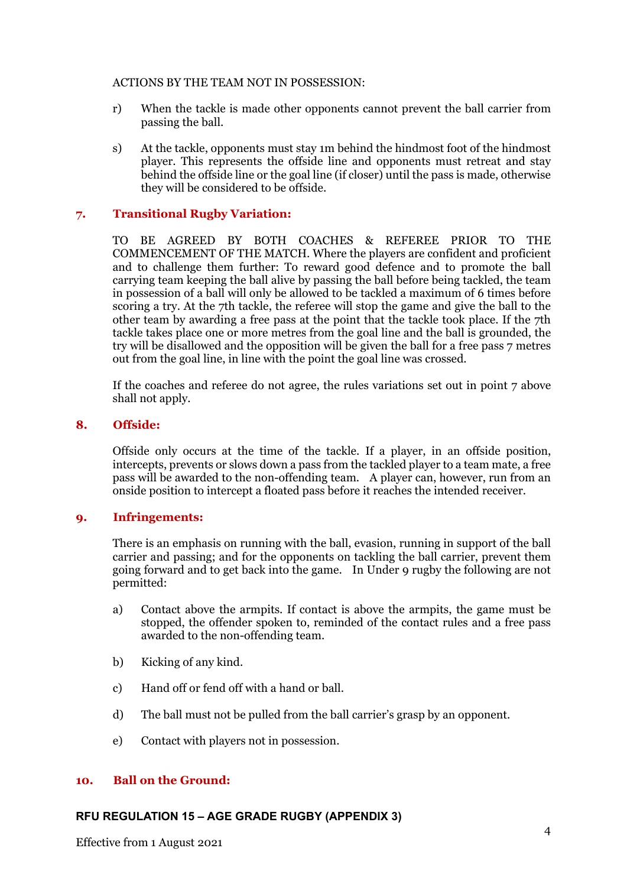### ACTIONS BY THE TEAM NOT IN POSSESSION:

- r) When the tackle is made other opponents cannot prevent the ball carrier from passing the ball.
- s) At the tackle, opponents must stay 1m behind the hindmost foot of the hindmost player. This represents the offside line and opponents must retreat and stay behind the offside line or the goal line (if closer) until the pass is made, otherwise they will be considered to be offside.

## **7. Transitional Rugby Variation:**

TO BE AGREED BY BOTH COACHES & REFEREE PRIOR TO THE COMMENCEMENT OF THE MATCH. Where the players are confident and proficient and to challenge them further: To reward good defence and to promote the ball carrying team keeping the ball alive by passing the ball before being tackled, the team in possession of a ball will only be allowed to be tackled a maximum of 6 times before scoring a try. At the 7th tackle, the referee will stop the game and give the ball to the other team by awarding a free pass at the point that the tackle took place. If the 7th tackle takes place one or more metres from the goal line and the ball is grounded, the try will be disallowed and the opposition will be given the ball for a free pass 7 metres out from the goal line, in line with the point the goal line was crossed.

If the coaches and referee do not agree, the rules variations set out in point 7 above shall not apply.

### **8. Offside:**

Offside only occurs at the time of the tackle. If a player, in an offside position, intercepts, prevents or slows down a pass from the tackled player to a team mate, a free pass will be awarded to the non-offending team. A player can, however, run from an onside position to intercept a floated pass before it reaches the intended receiver.

### **9. Infringements:**

There is an emphasis on running with the ball, evasion, running in support of the ball carrier and passing; and for the opponents on tackling the ball carrier, prevent them going forward and to get back into the game. In Under 9 rugby the following are not permitted:

- a) Contact above the armpits. If contact is above the armpits, the game must be stopped, the offender spoken to, reminded of the contact rules and a free pass awarded to the non-offending team.
- b) Kicking of any kind.
- c) Hand off or fend off with a hand or ball.
- d) The ball must not be pulled from the ball carrier's grasp by an opponent.
- e) Contact with players not in possession.

### **10. Ball on the Ground:**